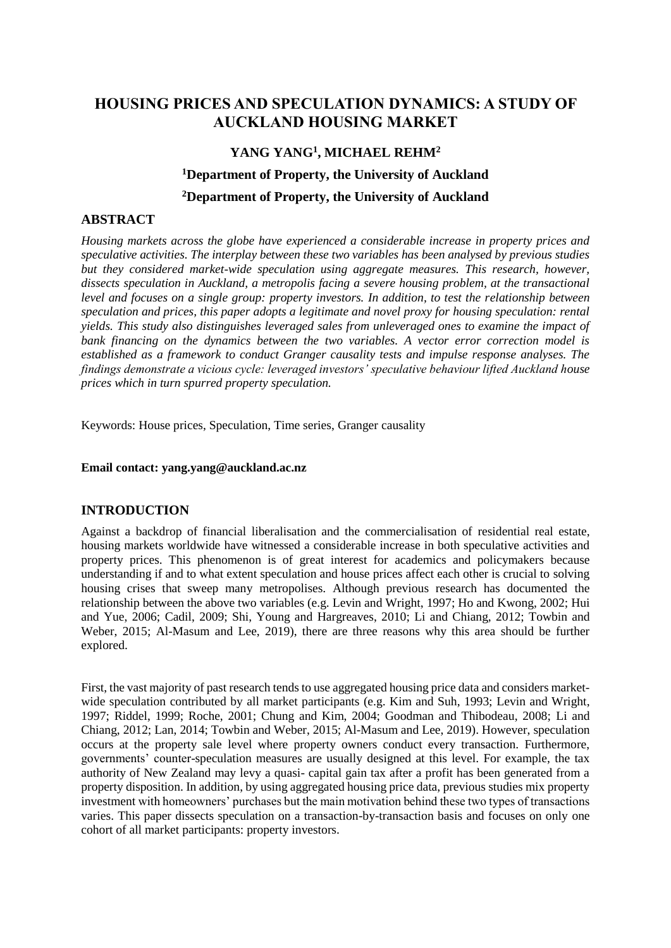## **HOUSING PRICES AND SPECULATION DYNAMICS: A STUDY OF AUCKLAND HOUSING MARKET**

# **YANG YANG<sup>1</sup> , MICHAEL REHM<sup>2</sup> <sup>1</sup>Department of Property, the University of Auckland <sup>2</sup>Department of Property, the University of Auckland**

## **ABSTRACT**

*Housing markets across the globe have experienced a considerable increase in property prices and speculative activities. The interplay between these two variables has been analysed by previous studies but they considered market-wide speculation using aggregate measures. This research, however, dissects speculation in Auckland, a metropolis facing a severe housing problem, at the transactional level and focuses on a single group: property investors. In addition, to test the relationship between speculation and prices, this paper adopts a legitimate and novel proxy for housing speculation: rental yields. This study also distinguishes leveraged sales from unleveraged ones to examine the impact of bank financing on the dynamics between the two variables. A vector error correction model is established as a framework to conduct Granger causality tests and impulse response analyses. The findings demonstrate a vicious cycle: leveraged investors' speculative behaviour lifted Auckland house prices which in turn spurred property speculation.*

Keywords: House prices, Speculation, Time series, Granger causality

#### **Email contact: yang.yang@auckland.ac.nz**

## **INTRODUCTION**

Against a backdrop of financial liberalisation and the commercialisation of residential real estate, housing markets worldwide have witnessed a considerable increase in both speculative activities and property prices. This phenomenon is of great interest for academics and policymakers because understanding if and to what extent speculation and house prices affect each other is crucial to solving housing crises that sweep many metropolises. Although previous research has documented the relationship between the above two variables (e.g. Levin and Wright, 1997; Ho and Kwong, 2002; Hui and Yue, 2006; Cadil, 2009; Shi, Young and Hargreaves, 2010; Li and Chiang, 2012; Towbin and Weber, 2015; Al-Masum and Lee, 2019), there are three reasons why this area should be further explored.

First, the vast majority of past research tends to use aggregated housing price data and considers marketwide speculation contributed by all market participants (e.g. Kim and Suh, 1993; Levin and Wright, 1997; Riddel, 1999; Roche, 2001; Chung and Kim, 2004; Goodman and Thibodeau, 2008; Li and Chiang, 2012; Lan, 2014; Towbin and Weber, 2015; Al-Masum and Lee, 2019). However, speculation occurs at the property sale level where property owners conduct every transaction. Furthermore, governments' counter-speculation measures are usually designed at this level. For example, the tax authority of New Zealand may levy a quasi- capital gain tax after a profit has been generated from a property disposition. In addition, by using aggregated housing price data, previous studies mix property investment with homeowners' purchases but the main motivation behind these two types of transactions varies. This paper dissects speculation on a transaction-by-transaction basis and focuses on only one cohort of all market participants: property investors.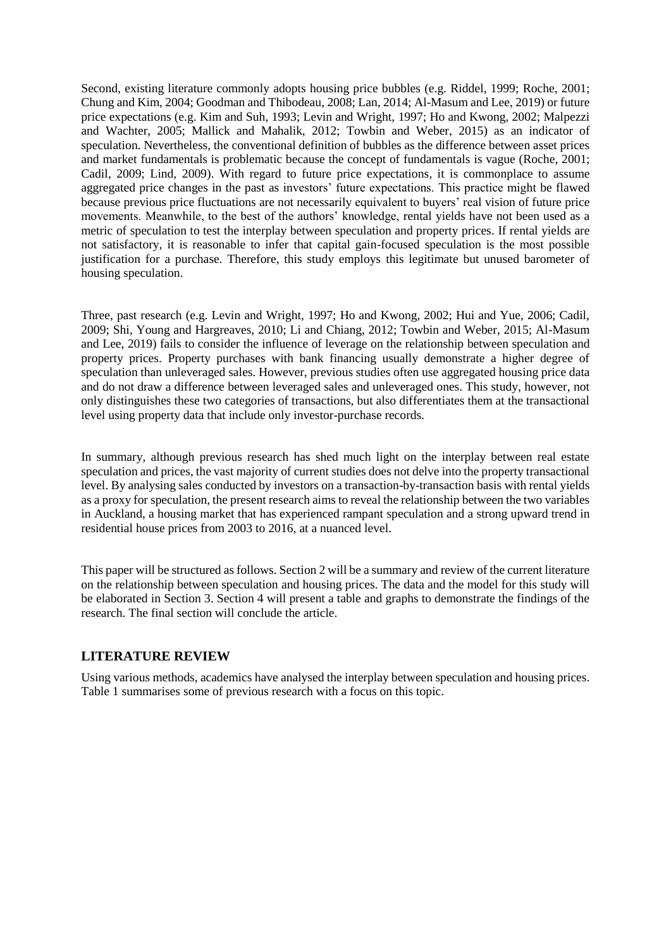Second, existing literature commonly adopts housing price bubbles (e.g. Riddel, 1999; Roche, 2001; Chung and Kim, 2004; Goodman and Thibodeau, 2008; Lan, 2014; Al-Masum and Lee, 2019) or future price expectations (e.g. Kim and Suh, 1993; Levin and Wright, 1997; Ho and Kwong, 2002; Malpezzi and Wachter, 2005; Mallick and Mahalik, 2012; Towbin and Weber, 2015) as an indicator of speculation. Nevertheless, the conventional definition of bubbles as the difference between asset prices and market fundamentals is problematic because the concept of fundamentals is vague (Roche, 2001; Cadil, 2009; Lind, 2009). With regard to future price expectations, it is commonplace to assume aggregated price changes in the past as investors' future expectations. This practice might be flawed because previous price fluctuations are not necessarily equivalent to buyers' real vision of future price movements. Meanwhile, to the best of the authors' knowledge, rental yields have not been used as a metric of speculation to test the interplay between speculation and property prices. If rental yields are not satisfactory, it is reasonable to infer that capital gain-focused speculation is the most possible justification for a purchase. Therefore, this study employs this legitimate but unused barometer of housing speculation.

Three, past research (e.g. Levin and Wright, 1997; Ho and Kwong, 2002; Hui and Yue, 2006; Cadil, 2009; Shi, Young and Hargreaves, 2010; Li and Chiang, 2012; Towbin and Weber, 2015; Al-Masum and Lee, 2019) fails to consider the influence of leverage on the relationship between speculation and property prices. Property purchases with bank financing usually demonstrate a higher degree of speculation than unleveraged sales. However, previous studies often use aggregated housing price data and do not draw a difference between leveraged sales and unleveraged ones. This study, however, not only distinguishes these two categories of transactions, but also differentiates them at the transactional level using property data that include only investor-purchase records.

In summary, although previous research has shed much light on the interplay between real estate speculation and prices, the vast majority of current studies does not delve into the property transactional level. By analysing sales conducted by investors on a transaction-by-transaction basis with rental yields as a proxy for speculation, the present research aims to reveal the relationship between the two variables in Auckland, a housing market that has experienced rampant speculation and a strong upward trend in residential house prices from 2003 to 2016, at a nuanced level.

This paper will be structured as follows. Section 2 will be a summary and review of the current literature on the relationship between speculation and housing prices. The data and the model for this study will be elaborated in Section 3. Section 4 will present a table and graphs to demonstrate the findings of the research. The final section will conclude the article.

## **LITERATURE REVIEW**

Using various methods, academics have analysed the interplay between speculation and housing prices. Table 1 summarises some of previous research with a focus on this topic.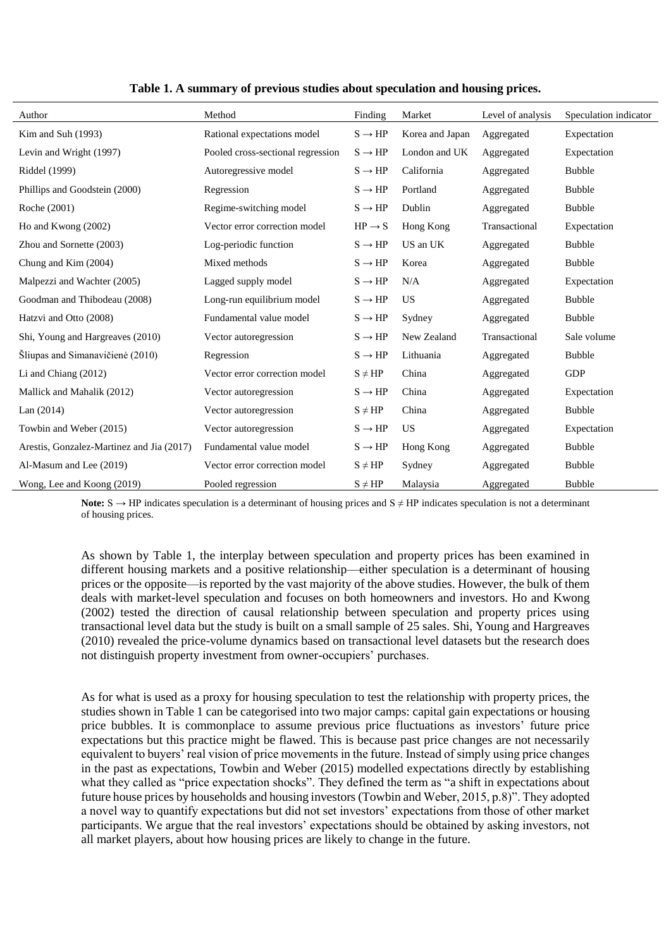| Author                                    | Method                            | Finding            | Market          | Level of analysis | Speculation indicator |  |
|-------------------------------------------|-----------------------------------|--------------------|-----------------|-------------------|-----------------------|--|
| Kim and Suh (1993)                        | Rational expectations model       | $S \rightarrow HP$ | Korea and Japan | Aggregated        | Expectation           |  |
| Levin and Wright (1997)                   | Pooled cross-sectional regression | $S \rightarrow HP$ | London and UK   | Aggregated        | Expectation           |  |
| Riddel (1999)                             | Autoregressive model              | $S \rightarrow HP$ | California      | Aggregated        | <b>Bubble</b>         |  |
| Phillips and Goodstein (2000)             | Regression                        | $S \rightarrow HP$ | Portland        | Aggregated        | <b>Bubble</b>         |  |
| Roche (2001)                              | Regime-switching model            | $S \rightarrow HP$ | Dublin          | Aggregated        | <b>Bubble</b>         |  |
| Ho and Kwong (2002)                       | Vector error correction model     | $HP \rightarrow S$ | Hong Kong       | Transactional     | Expectation           |  |
| Zhou and Sornette (2003)                  | Log-periodic function             | $S \rightarrow HP$ | US an UK        | Aggregated        | <b>Bubble</b>         |  |
| Chung and Kim (2004)                      | Mixed methods                     | $S \rightarrow HP$ | Korea           | Aggregated        | <b>Bubble</b>         |  |
| Malpezzi and Wachter (2005)               | Lagged supply model               | $S \rightarrow HP$ | N/A             | Aggregated        | Expectation           |  |
| Goodman and Thibodeau (2008)              | Long-run equilibrium model        | $S \rightarrow HP$ | US              | Aggregated        | <b>Bubble</b>         |  |
| Hatzvi and Otto (2008)                    | Fundamental value model           | $S \rightarrow HP$ | Sydney          | Aggregated        | <b>Bubble</b>         |  |
| Shi, Young and Hargreaves (2010)          | Vector autoregression             | $S \rightarrow HP$ | New Zealand     | Transactional     | Sale volume           |  |
| Šliupas and Simanavičienė (2010)          | Regression                        | $S \rightarrow HP$ | Lithuania       | Aggregated        | <b>Bubble</b>         |  |
| Li and Chiang (2012)                      | Vector error correction model     | $S \neq HP$        | China           | Aggregated        | <b>GDP</b>            |  |
| Mallick and Mahalik (2012)                | Vector autoregression             | $S \rightarrow HP$ | China           | Aggregated        | Expectation           |  |
| Lan $(2014)$                              | Vector autoregression             | $S \neq HP$        | China           | Aggregated        | <b>Bubble</b>         |  |
| Towbin and Weber (2015)                   | Vector autoregression             | $S \rightarrow HP$ | US              | Aggregated        | Expectation           |  |
| Arestis, Gonzalez-Martinez and Jia (2017) | Fundamental value model           | $S \rightarrow HP$ | Hong Kong       | Aggregated        | <b>Bubble</b>         |  |
| Al-Masum and Lee (2019)                   | Vector error correction model     | $S \neq HP$        | Sydney          | Aggregated        | <b>Bubble</b>         |  |
| Wong, Lee and Koong (2019)                | Pooled regression                 | $S \neq HP$        | Malaysia        | Aggregated        | <b>Bubble</b>         |  |

**Table 1. A summary of previous studies about speculation and housing prices.**

Note: S → HP indicates speculation is a determinant of housing prices and S ≠ HP indicates speculation is not a determinant of housing prices.

As shown by Table 1, the interplay between speculation and property prices has been examined in different housing markets and a positive relationship—either speculation is a determinant of housing prices or the opposite—is reported by the vast majority of the above studies. However, the bulk of them deals with market-level speculation and focuses on both homeowners and investors. Ho and Kwong (2002) tested the direction of causal relationship between speculation and property prices using transactional level data but the study is built on a small sample of 25 sales. Shi, Young and Hargreaves (2010) revealed the price-volume dynamics based on transactional level datasets but the research does not distinguish property investment from owner-occupiers' purchases.

As for what is used as a proxy for housing speculation to test the relationship with property prices, the studies shown in Table 1 can be categorised into two major camps: capital gain expectations or housing price bubbles. It is commonplace to assume previous price fluctuations as investors' future price expectations but this practice might be flawed. This is because past price changes are not necessarily equivalent to buyers' real vision of price movements in the future. Instead of simply using price changes in the past as expectations, Towbin and Weber (2015) modelled expectations directly by establishing what they called as "price expectation shocks". They defined the term as "a shift in expectations about future house prices by households and housing investors (Towbin and Weber, 2015, p.8)". They adopted a novel way to quantify expectations but did not set investors' expectations from those of other market participants. We argue that the real investors' expectations should be obtained by asking investors, not all market players, about how housing prices are likely to change in the future.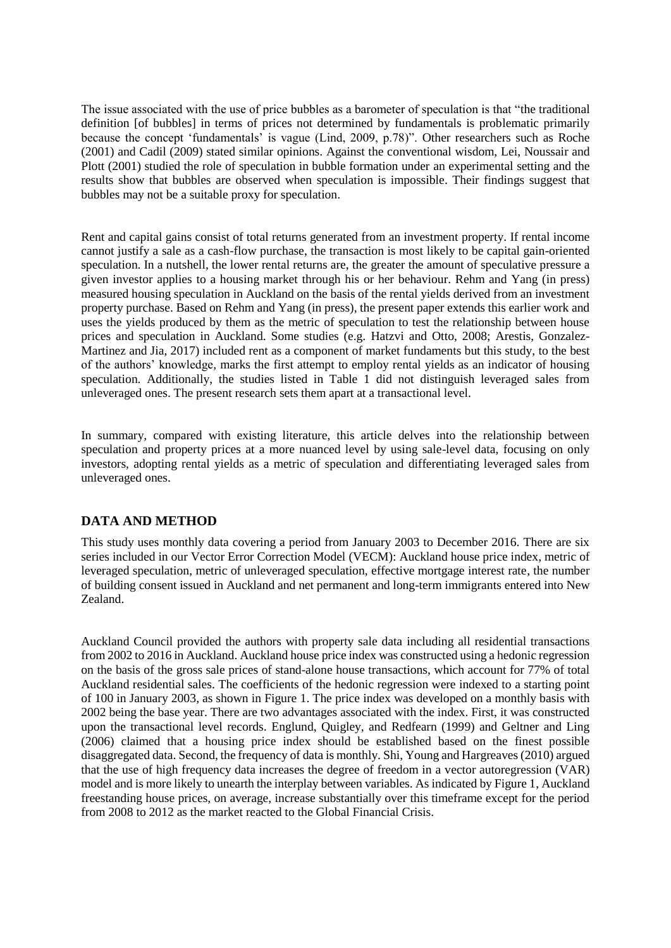The issue associated with the use of price bubbles as a barometer of speculation is that "the traditional definition [of bubbles] in terms of prices not determined by fundamentals is problematic primarily because the concept 'fundamentals' is vague (Lind, 2009, p.78)". Other researchers such as Roche (2001) and Cadil (2009) stated similar opinions. Against the conventional wisdom, Lei, Noussair and Plott (2001) studied the role of speculation in bubble formation under an experimental setting and the results show that bubbles are observed when speculation is impossible. Their findings suggest that bubbles may not be a suitable proxy for speculation.

Rent and capital gains consist of total returns generated from an investment property. If rental income cannot justify a sale as a cash-flow purchase, the transaction is most likely to be capital gain-oriented speculation. In a nutshell, the lower rental returns are, the greater the amount of speculative pressure a given investor applies to a housing market through his or her behaviour. Rehm and Yang (in press) measured housing speculation in Auckland on the basis of the rental yields derived from an investment property purchase. Based on Rehm and Yang (in press), the present paper extends this earlier work and uses the yields produced by them as the metric of speculation to test the relationship between house prices and speculation in Auckland. Some studies (e.g. Hatzvi and Otto, 2008; Arestis, Gonzalez-Martinez and Jia, 2017) included rent as a component of market fundaments but this study, to the best of the authors' knowledge, marks the first attempt to employ rental yields as an indicator of housing speculation. Additionally, the studies listed in Table 1 did not distinguish leveraged sales from unleveraged ones. The present research sets them apart at a transactional level.

In summary, compared with existing literature, this article delves into the relationship between speculation and property prices at a more nuanced level by using sale-level data, focusing on only investors, adopting rental yields as a metric of speculation and differentiating leveraged sales from unleveraged ones.

## **DATA AND METHOD**

This study uses monthly data covering a period from January 2003 to December 2016. There are six series included in our Vector Error Correction Model (VECM): Auckland house price index, metric of leveraged speculation, metric of unleveraged speculation, effective mortgage interest rate, the number of building consent issued in Auckland and net permanent and long-term immigrants entered into New Zealand.

Auckland Council provided the authors with property sale data including all residential transactions from 2002 to 2016 in Auckland. Auckland house price index was constructed using a hedonic regression on the basis of the gross sale prices of stand-alone house transactions, which account for 77% of total Auckland residential sales. The coefficients of the hedonic regression were indexed to a starting point of 100 in January 2003, as shown in Figure 1. The price index was developed on a monthly basis with 2002 being the base year. There are two advantages associated with the index. First, it was constructed upon the transactional level records. Englund, Quigley, and Redfearn (1999) and Geltner and Ling (2006) claimed that a housing price index should be established based on the finest possible disaggregated data. Second, the frequency of data is monthly. Shi, Young and Hargreaves (2010) argued that the use of high frequency data increases the degree of freedom in a vector autoregression (VAR) model and is more likely to unearth the interplay between variables. As indicated by Figure 1, Auckland freestanding house prices, on average, increase substantially over this timeframe except for the period from 2008 to 2012 as the market reacted to the Global Financial Crisis.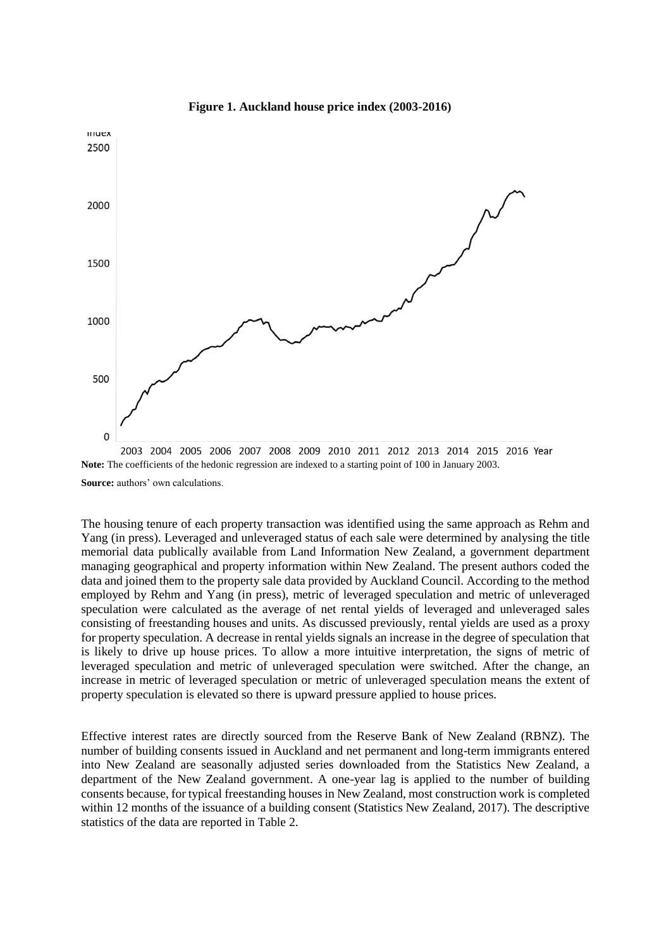

**Figure 1. Auckland house price index (2003-2016)**

2003 2004 2005 2006 2007 2008 2009 2010 2011 2012 2013 2014 2015 2016 Year **Note:** The coefficients of the hedonic regression are indexed to a starting point of 100 in January 2003. **Source:** authors' own calculations.

The housing tenure of each property transaction was identified using the same approach as Rehm and Yang (in press). Leveraged and unleveraged status of each sale were determined by analysing the title memorial data publically available from Land Information New Zealand, a government department managing geographical and property information within New Zealand. The present authors coded the data and joined them to the property sale data provided by Auckland Council. According to the method employed by Rehm and Yang (in press), metric of leveraged speculation and metric of unleveraged speculation were calculated as the average of net rental yields of leveraged and unleveraged sales consisting of freestanding houses and units. As discussed previously, rental yields are used as a proxy for property speculation. A decrease in rental yields signals an increase in the degree of speculation that is likely to drive up house prices. To allow a more intuitive interpretation, the signs of metric of leveraged speculation and metric of unleveraged speculation were switched. After the change, an increase in metric of leveraged speculation or metric of unleveraged speculation means the extent of property speculation is elevated so there is upward pressure applied to house prices.

Effective interest rates are directly sourced from the Reserve Bank of New Zealand (RBNZ). The number of building consents issued in Auckland and net permanent and long-term immigrants entered into New Zealand are seasonally adjusted series downloaded from the Statistics New Zealand, a department of the New Zealand government. A one-year lag is applied to the number of building consents because, for typical freestanding houses in New Zealand, most construction work is completed within 12 months of the issuance of a building consent (Statistics New Zealand, 2017). The descriptive statistics of the data are reported in Table 2.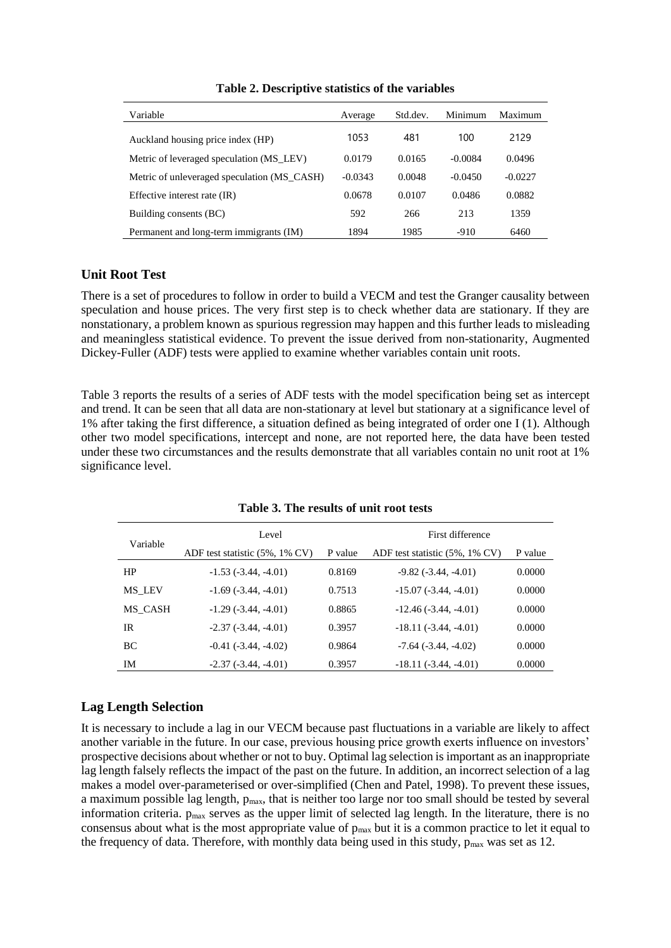| Variable                                    | Average   | Std.dev. | Minimum   | Maximum   |
|---------------------------------------------|-----------|----------|-----------|-----------|
| Auckland housing price index (HP)           | 1053      | 481      | 100       | 2129      |
| Metric of leveraged speculation (MS_LEV)    | 0.0179    | 0.0165   | $-0.0084$ | 0.0496    |
| Metric of unleveraged speculation (MS CASH) | $-0.0343$ | 0.0048   | $-0.0450$ | $-0.0227$ |
| Effective interest rate (IR)                | 0.0678    | 0.0107   | 0.0486    | 0.0882    |
| Building consents (BC)                      | 592       | 266      | 213       | 1359      |
| Permanent and long-term immigrants (IM)     | 1894      | 1985     | $-910$    | 6460      |

**Table 2. Descriptive statistics of the variables**

## **Unit Root Test**

There is a set of procedures to follow in order to build a VECM and test the Granger causality between speculation and house prices. The very first step is to check whether data are stationary. If they are nonstationary, a problem known as spurious regression may happen and this further leads to misleading and meaningless statistical evidence. To prevent the issue derived from non-stationarity, Augmented Dickey-Fuller (ADF) tests were applied to examine whether variables contain unit roots.

Table 3 reports the results of a series of ADF tests with the model specification being set as intercept and trend. It can be seen that all data are non-stationary at level but stationary at a significance level of 1% after taking the first difference, a situation defined as being integrated of order one I (1). Although other two model specifications, intercept and none, are not reported here, the data have been tested under these two circumstances and the results demonstrate that all variables contain no unit root at 1% significance level.

|           | Level                              |         | First difference               |         |  |  |
|-----------|------------------------------------|---------|--------------------------------|---------|--|--|
| Variable  | ADF test statistic $(5\%, 1\%$ CV) | P value | ADF test statistic (5%, 1% CV) | P value |  |  |
| HP        | $-1.53(-3.44, -4.01)$              | 0.8169  | $-9.82(-3.44, -4.01)$          | 0.0000  |  |  |
| MS LEV    | $-1.69(-3.44, -4.01)$              | 0.7513  | $-15.07(-3.44, -4.01)$         | 0.0000  |  |  |
| MS CASH   | $-1.29(-3.44, -4.01)$              | 0.8865  | $-12.46(-3.44, -4.01)$         | 0.0000  |  |  |
| IR        | $-2.37(-3.44, -4.01)$              | 0.3957  | $-18.11(-3.44, -4.01)$         | 0.0000  |  |  |
| <b>BC</b> | $-0.41$ $(-3.44, -4.02)$           | 0.9864  | $-7.64$ $(-3.44, -4.02)$       | 0.0000  |  |  |
| IM        | $-2.37(-3.44, -4.01)$              | 0.3957  | $-18.11(-3.44, -4.01)$         | 0.0000  |  |  |

**Table 3. The results of unit root tests**

## **Lag Length Selection**

It is necessary to include a lag in our VECM because past fluctuations in a variable are likely to affect another variable in the future. In our case, previous housing price growth exerts influence on investors' prospective decisions about whether or not to buy. Optimal lag selection is important as an inappropriate lag length falsely reflects the impact of the past on the future. In addition, an incorrect selection of a lag makes a model over-parameterised or over-simplified (Chen and Patel, 1998). To prevent these issues, a maximum possible lag length,  $p_{max}$ , that is neither too large nor too small should be tested by several information criteria. pmax serves as the upper limit of selected lag length. In the literature, there is no consensus about what is the most appropriate value of pmax but it is a common practice to let it equal to the frequency of data. Therefore, with monthly data being used in this study,  $p_{max}$  was set as 12.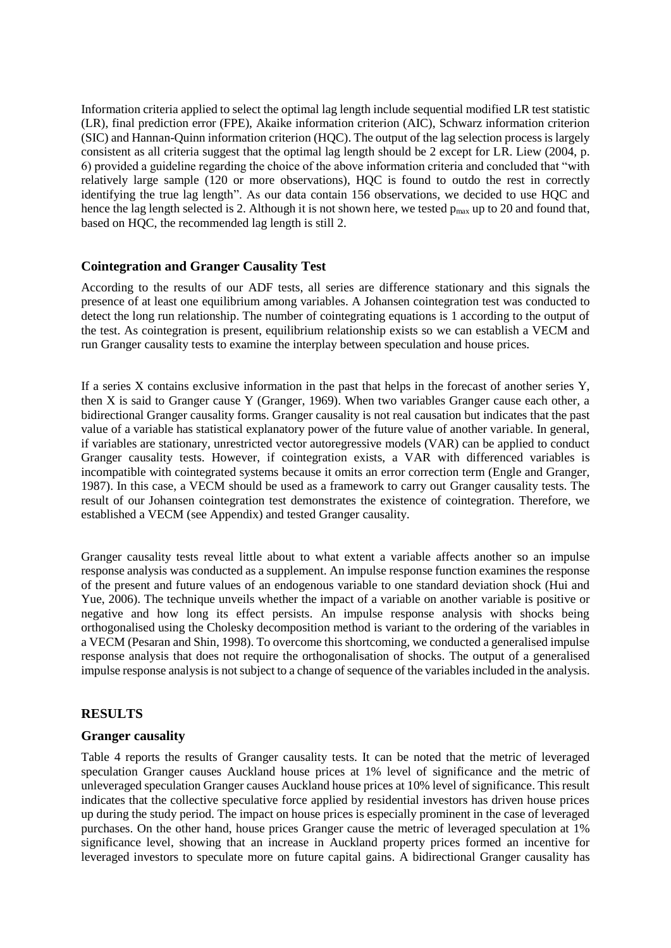Information criteria applied to select the optimal lag length include sequential modified LR test statistic (LR), final prediction error (FPE), Akaike information criterion (AIC), Schwarz information criterion (SIC) and Hannan-Quinn information criterion (HQC). The output of the lag selection process is largely consistent as all criteria suggest that the optimal lag length should be 2 except for LR. Liew (2004, p. 6) provided a guideline regarding the choice of the above information criteria and concluded that "with relatively large sample (120 or more observations), HQC is found to outdo the rest in correctly identifying the true lag length". As our data contain 156 observations, we decided to use HQC and hence the lag length selected is 2. Although it is not shown here, we tested  $p_{max}$  up to 20 and found that, based on HQC, the recommended lag length is still 2.

#### **Cointegration and Granger Causality Test**

According to the results of our ADF tests, all series are difference stationary and this signals the presence of at least one equilibrium among variables. A Johansen cointegration test was conducted to detect the long run relationship. The number of cointegrating equations is 1 according to the output of the test. As cointegration is present, equilibrium relationship exists so we can establish a VECM and run Granger causality tests to examine the interplay between speculation and house prices.

If a series X contains exclusive information in the past that helps in the forecast of another series Y, then X is said to Granger cause Y (Granger, 1969). When two variables Granger cause each other, a bidirectional Granger causality forms. Granger causality is not real causation but indicates that the past value of a variable has statistical explanatory power of the future value of another variable. In general, if variables are stationary, unrestricted vector autoregressive models (VAR) can be applied to conduct Granger causality tests. However, if cointegration exists, a VAR with differenced variables is incompatible with cointegrated systems because it omits an error correction term (Engle and Granger, 1987). In this case, a VECM should be used as a framework to carry out Granger causality tests. The result of our Johansen cointegration test demonstrates the existence of cointegration. Therefore, we established a VECM (see Appendix) and tested Granger causality.

Granger causality tests reveal little about to what extent a variable affects another so an impulse response analysis was conducted as a supplement. An impulse response function examines the response of the present and future values of an endogenous variable to one standard deviation shock (Hui and Yue, 2006). The technique unveils whether the impact of a variable on another variable is positive or negative and how long its effect persists. An impulse response analysis with shocks being orthogonalised using the Cholesky decomposition method is variant to the ordering of the variables in a VECM (Pesaran and Shin, 1998). To overcome this shortcoming, we conducted a generalised impulse response analysis that does not require the orthogonalisation of shocks. The output of a generalised impulse response analysis is not subject to a change of sequence of the variables included in the analysis.

## **RESULTS**

#### **Granger causality**

Table 4 reports the results of Granger causality tests. It can be noted that the metric of leveraged speculation Granger causes Auckland house prices at 1% level of significance and the metric of unleveraged speculation Granger causes Auckland house prices at 10% level of significance. This result indicates that the collective speculative force applied by residential investors has driven house prices up during the study period. The impact on house prices is especially prominent in the case of leveraged purchases. On the other hand, house prices Granger cause the metric of leveraged speculation at 1% significance level, showing that an increase in Auckland property prices formed an incentive for leveraged investors to speculate more on future capital gains. A bidirectional Granger causality has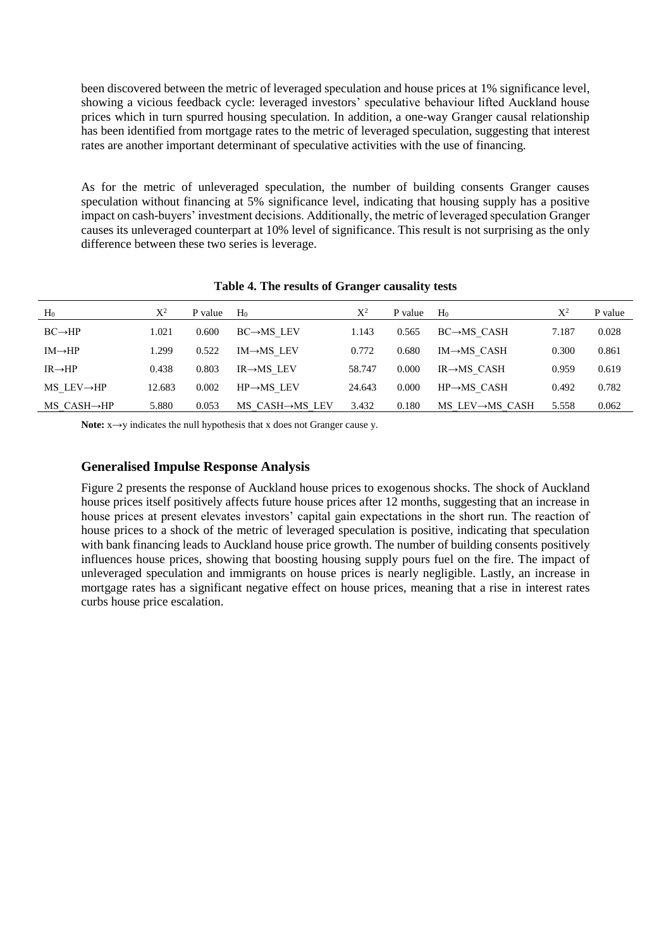been discovered between the metric of leveraged speculation and house prices at 1% significance level, showing a vicious feedback cycle: leveraged investors' speculative behaviour lifted Auckland house prices which in turn spurred housing speculation. In addition, a one-way Granger causal relationship has been identified from mortgage rates to the metric of leveraged speculation, suggesting that interest rates are another important determinant of speculative activities with the use of financing.

As for the metric of unleveraged speculation, the number of building consents Granger causes speculation without financing at 5% significance level, indicating that housing supply has a positive impact on cash-buyers' investment decisions. Additionally, the metric of leveraged speculation Granger causes its unleveraged counterpart at 10% level of significance. This result is not surprising as the only difference between these two series is leverage.

| H <sub>0</sub>             | $X^2$  | P value | H <sub>0</sub>          | $\mathrm{X}^2$ | P value | H <sub>0</sub>           | $\mathrm{X}^2$ | P value |
|----------------------------|--------|---------|-------------------------|----------------|---------|--------------------------|----------------|---------|
| $BC \rightarrow HP$        | 1.021  | 0.600   | $BC \rightarrow MS$ LEV | 1.143          | 0.565   | $BC \rightarrow MS$ CASH | 7.187          | 0.028   |
| $IM \rightarrow HP$        | 1.299  | 0.522   | $IM \rightarrow MS$ LEV | 0.772          | 0.680   | $IM \rightarrow MS$ CASH | 0.300          | 0.861   |
| $IR \rightarrow HP$        | 0.438  | 0.803   | $IR \rightarrow MS$ LEV | 58.747         | 0.000   | $IR \rightarrow MS$ CASH | 0.959          | 0.619   |
| $MS$ LEV $\rightarrow$ HP  | 12.683 | 0.002   | $HP \rightarrow MS$ LEV | 24.643         | 0.000   | $HP \rightarrow MS$ CASH | 0.492          | 0.782   |
| $MS$ CASH $\rightarrow$ HP | 5.880  | 0.053   | MS CASH→MS LEV          | 3.432          | 0.180   | MS LEV→MS CASH           | 5.558          | 0.062   |

#### **Table 4. The results of Granger causality tests**

Note: x→y indicates the null hypothesis that x does not Granger cause y.

#### **Generalised Impulse Response Analysis**

Figure 2 presents the response of Auckland house prices to exogenous shocks. The shock of Auckland house prices itself positively affects future house prices after 12 months, suggesting that an increase in house prices at present elevates investors' capital gain expectations in the short run. The reaction of house prices to a shock of the metric of leveraged speculation is positive, indicating that speculation with bank financing leads to Auckland house price growth. The number of building consents positively influences house prices, showing that boosting housing supply pours fuel on the fire. The impact of unleveraged speculation and immigrants on house prices is nearly negligible. Lastly, an increase in mortgage rates has a significant negative effect on house prices, meaning that a rise in interest rates curbs house price escalation.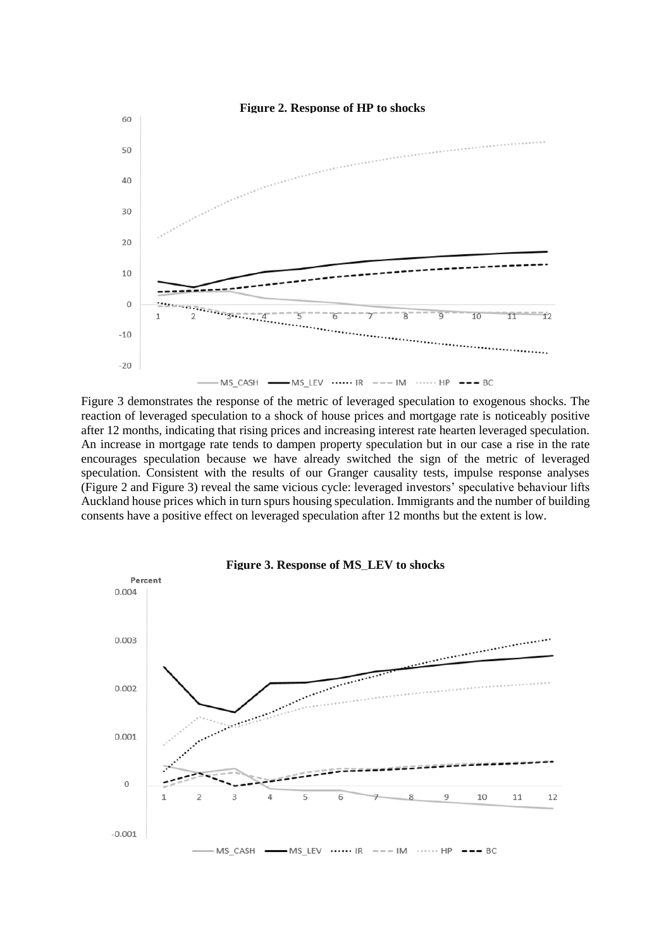

Figure 3 demonstrates the response of the metric of leveraged speculation to exogenous shocks. The reaction of leveraged speculation to a shock of house prices and mortgage rate is noticeably positive after 12 months, indicating that rising prices and increasing interest rate hearten leveraged speculation. An increase in mortgage rate tends to dampen property speculation but in our case a rise in the rate encourages speculation because we have already switched the sign of the metric of leveraged speculation. Consistent with the results of our Granger causality tests, impulse response analyses (Figure 2 and Figure 3) reveal the same vicious cycle: leveraged investors' speculative behaviour lifts Auckland house prices which in turn spurs housing speculation. Immigrants and the number of building consents have a positive effect on leveraged speculation after 12 months but the extent is low.



**Figure 3. Response of MS\_LEV to shocks**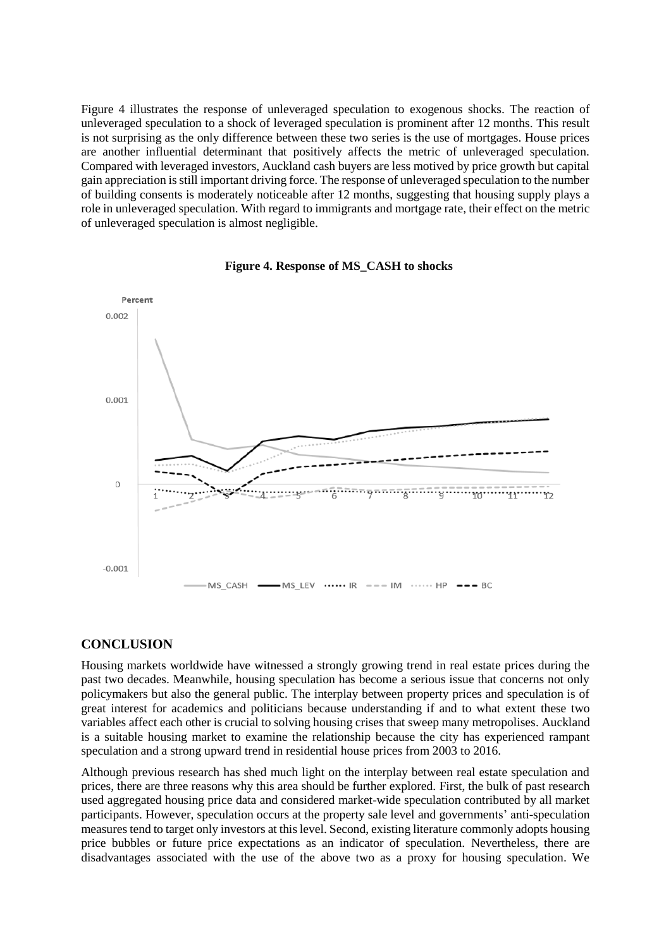Figure 4 illustrates the response of unleveraged speculation to exogenous shocks. The reaction of unleveraged speculation to a shock of leveraged speculation is prominent after 12 months. This result is not surprising as the only difference between these two series is the use of mortgages. House prices are another influential determinant that positively affects the metric of unleveraged speculation. Compared with leveraged investors, Auckland cash buyers are less motived by price growth but capital gain appreciation is still important driving force. The response of unleveraged speculation to the number of building consents is moderately noticeable after 12 months, suggesting that housing supply plays a role in unleveraged speculation. With regard to immigrants and mortgage rate, their effect on the metric of unleveraged speculation is almost negligible.





#### **CONCLUSION**

Housing markets worldwide have witnessed a strongly growing trend in real estate prices during the past two decades. Meanwhile, housing speculation has become a serious issue that concerns not only policymakers but also the general public. The interplay between property prices and speculation is of great interest for academics and politicians because understanding if and to what extent these two variables affect each other is crucial to solving housing crises that sweep many metropolises. Auckland is a suitable housing market to examine the relationship because the city has experienced rampant speculation and a strong upward trend in residential house prices from 2003 to 2016.

Although previous research has shed much light on the interplay between real estate speculation and prices, there are three reasons why this area should be further explored. First, the bulk of past research used aggregated housing price data and considered market-wide speculation contributed by all market participants. However, speculation occurs at the property sale level and governments' anti-speculation measures tend to target only investors at this level. Second, existing literature commonly adopts housing price bubbles or future price expectations as an indicator of speculation. Nevertheless, there are disadvantages associated with the use of the above two as a proxy for housing speculation. We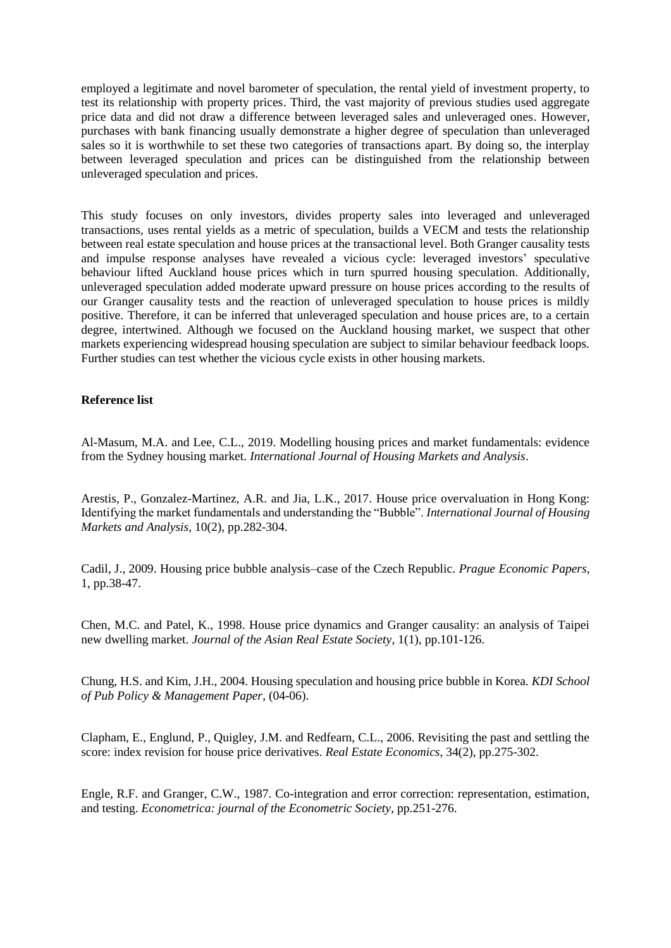employed a legitimate and novel barometer of speculation, the rental yield of investment property, to test its relationship with property prices. Third, the vast majority of previous studies used aggregate price data and did not draw a difference between leveraged sales and unleveraged ones. However, purchases with bank financing usually demonstrate a higher degree of speculation than unleveraged sales so it is worthwhile to set these two categories of transactions apart. By doing so, the interplay between leveraged speculation and prices can be distinguished from the relationship between unleveraged speculation and prices.

This study focuses on only investors, divides property sales into leveraged and unleveraged transactions, uses rental yields as a metric of speculation, builds a VECM and tests the relationship between real estate speculation and house prices at the transactional level. Both Granger causality tests and impulse response analyses have revealed a vicious cycle: leveraged investors' speculative behaviour lifted Auckland house prices which in turn spurred housing speculation. Additionally, unleveraged speculation added moderate upward pressure on house prices according to the results of our Granger causality tests and the reaction of unleveraged speculation to house prices is mildly positive. Therefore, it can be inferred that unleveraged speculation and house prices are, to a certain degree, intertwined. Although we focused on the Auckland housing market, we suspect that other markets experiencing widespread housing speculation are subject to similar behaviour feedback loops. Further studies can test whether the vicious cycle exists in other housing markets.

#### **Reference list**

Al-Masum, M.A. and Lee, C.L., 2019. Modelling housing prices and market fundamentals: evidence from the Sydney housing market. *International Journal of Housing Markets and Analysis*.

Arestis, P., Gonzalez-Martinez, A.R. and Jia, L.K., 2017. House price overvaluation in Hong Kong: Identifying the market fundamentals and understanding the "Bubble". *International Journal of Housing Markets and Analysis*, 10(2), pp.282-304.

Cadil, J., 2009. Housing price bubble analysis–case of the Czech Republic. *Prague Economic Papers*, 1, pp.38-47.

Chen, M.C. and Patel, K., 1998. House price dynamics and Granger causality: an analysis of Taipei new dwelling market. *Journal of the Asian Real Estate Society*, 1(1), pp.101-126.

Chung, H.S. and Kim, J.H., 2004. Housing speculation and housing price bubble in Korea*. KDI School of Pub Policy & Management Paper*, (04-06).

Clapham, E., Englund, P., Quigley, J.M. and Redfearn, C.L., 2006. Revisiting the past and settling the score: index revision for house price derivatives. *Real Estate Economics*, 34(2), pp.275-302.

Engle, R.F. and Granger, C.W., 1987. Co-integration and error correction: representation, estimation, and testing. *Econometrica: journal of the Econometric Society*, pp.251-276.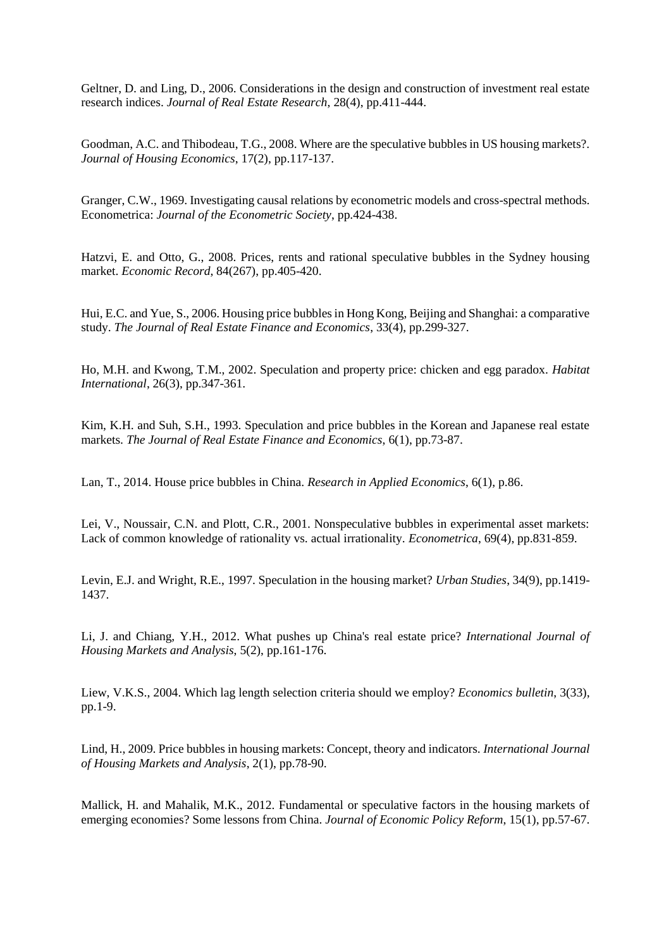Geltner, D. and Ling, D., 2006. Considerations in the design and construction of investment real estate research indices. *Journal of Real Estate Research*, 28(4), pp.411-444.

Goodman, A.C. and Thibodeau, T.G., 2008. Where are the speculative bubbles in US housing markets?. *Journal of Housing Economics*, 17(2), pp.117-137.

Granger, C.W., 1969. Investigating causal relations by econometric models and cross-spectral methods. Econometrica: *Journal of the Econometric Society*, pp.424-438.

Hatzvi, E. and Otto, G., 2008. Prices, rents and rational speculative bubbles in the Sydney housing market. *Economic Record*, 84(267), pp.405-420.

Hui, E.C. and Yue, S., 2006. Housing price bubbles in Hong Kong, Beijing and Shanghai: a comparative study. *The Journal of Real Estate Finance and Economics*, 33(4), pp.299-327.

Ho, M.H. and Kwong, T.M., 2002. Speculation and property price: chicken and egg paradox. *Habitat International*, 26(3), pp.347-361.

Kim, K.H. and Suh, S.H., 1993. Speculation and price bubbles in the Korean and Japanese real estate markets. *The Journal of Real Estate Finance and Economics*, 6(1), pp.73-87.

Lan, T., 2014. House price bubbles in China. *Research in Applied Economics*, 6(1), p.86.

Lei, V., Noussair, C.N. and Plott, C.R., 2001. Nonspeculative bubbles in experimental asset markets: Lack of common knowledge of rationality vs. actual irrationality. *Econometrica*, 69(4), pp.831-859.

Levin, E.J. and Wright, R.E., 1997. Speculation in the housing market? *Urban Studies*, 34(9), pp.1419- 1437.

Li, J. and Chiang, Y.H., 2012. What pushes up China's real estate price? *International Journal of Housing Markets and Analysis*, 5(2), pp.161-176.

Liew, V.K.S., 2004. Which lag length selection criteria should we employ? *Economics bulletin*, 3(33), pp.1-9.

Lind, H., 2009. Price bubbles in housing markets: Concept, theory and indicators. *International Journal of Housing Markets and Analysis*, 2(1), pp.78-90.

Mallick, H. and Mahalik, M.K., 2012. Fundamental or speculative factors in the housing markets of emerging economies? Some lessons from China. *Journal of Economic Policy Reform*, 15(1), pp.57-67.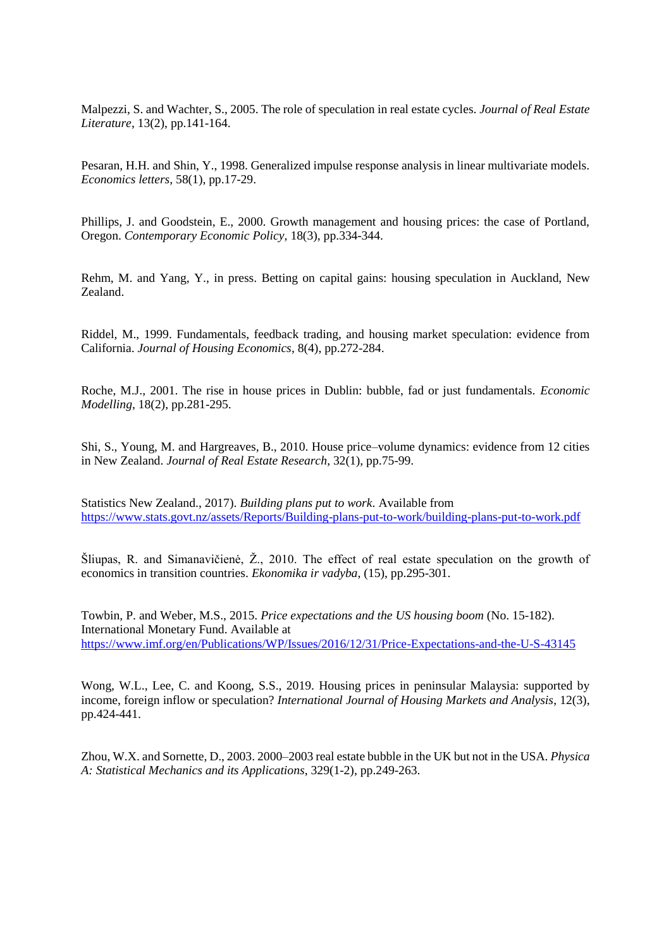Malpezzi, S. and Wachter, S., 2005. The role of speculation in real estate cycles. *Journal of Real Estate Literature*, 13(2), pp.141-164.

Pesaran, H.H. and Shin, Y., 1998. Generalized impulse response analysis in linear multivariate models. *Economics letters*, 58(1), pp.17-29.

Phillips, J. and Goodstein, E., 2000. Growth management and housing prices: the case of Portland, Oregon. *Contemporary Economic Policy*, 18(3), pp.334-344.

Rehm, M. and Yang, Y., in press. Betting on capital gains: housing speculation in Auckland, New Zealand.

Riddel, M., 1999. Fundamentals, feedback trading, and housing market speculation: evidence from California. *Journal of Housing Economics*, 8(4), pp.272-284.

Roche, M.J., 2001. The rise in house prices in Dublin: bubble, fad or just fundamentals. *Economic Modelling*, 18(2), pp.281-295.

Shi, S., Young, M. and Hargreaves, B., 2010. House price–volume dynamics: evidence from 12 cities in New Zealand. *Journal of Real Estate Research*, 32(1), pp.75-99.

Statistics New Zealand., 2017). *Building plans put to work*. Available from <https://www.stats.govt.nz/assets/Reports/Building-plans-put-to-work/building-plans-put-to-work.pdf>

Šliupas, R. and Simanavičienė, Ž., 2010. The effect of real estate speculation on the growth of economics in transition countries. *Ekonomika ir vadyba*, (15), pp.295-301.

Towbin, P. and Weber, M.S., 2015. *Price expectations and the US housing boom* (No. 15-182). International Monetary Fund. Available at <https://www.imf.org/en/Publications/WP/Issues/2016/12/31/Price-Expectations-and-the-U-S-43145>

Wong, W.L., Lee, C. and Koong, S.S., 2019. Housing prices in peninsular Malaysia: supported by income, foreign inflow or speculation? *International Journal of Housing Markets and Analysis*, 12(3), pp.424-441.

Zhou, W.X. and Sornette, D., 2003. 2000–2003 real estate bubble in the UK but not in the USA. *Physica A: Statistical Mechanics and its Applications*, 329(1-2), pp.249-263.